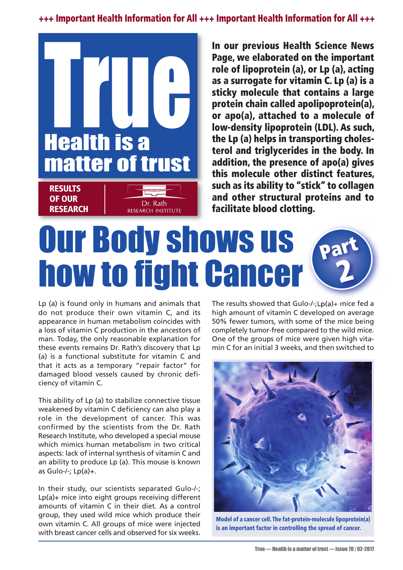**+++ Important Health Information for All +++ Important Health Information for All +++**



**In our previous Health Science News Page, we elaborated on the important role of lipoprotein (a), or Lp (a), acting as a surrogate for vitamin C. Lp (a) is a sticky molecule that contains a large protein chain called apolipoprotein(a), or apo(a), attached to a molecule of low-density lipoprotein (LDL). As such, the Lp (a) helps in transporting cholesterol and triglycerides in the body. In addition, the presence of apo(a) gives this molecule other distinct features, such as its ability to "stick" to collagen and other structural proteins and to facilitate blood clotting.**

## Our Body shows us **how to fight Cancer Part 2**

Lp (a) is found only in humans and animals that do not produce their own vitamin C, and its appearance in human metabolism coincides with a loss of vitamin C production in the ancestors of man. Today, the only reasonable explanation for these events remains Dr. Rath's discovery that Lp (a) is a functional substitute for vitamin C and that it acts as a temporary "repair factor" for damaged blood vessels caused by chronic deficiency of vitamin C.

This ability of Lp (a) to stabilize connective tissue weakened by vitamin C deficiency can also play a role in the development of cancer. This was confirmed by the scientists from the Dr. Rath Research Institute, who developed a special mouse which mimics human metabolism in two critical aspects: lack of internal synthesis of vitamin C and an ability to produce Lp (a). This mouse is known as Gulo- $/-$ ; Lp(a)+.

In their study, our scientists separated Gulo-/-; Lp(a)+ mice into eight groups receiving different amounts of vitamin C in their diet. As a control group, they used wild mice which produce their own vitamin C. All groups of mice were injected with breast cancer cells and observed for six weeks. The results showed that Gulo-/-;Lp(a)+ mice fed a high amount of vitamin C developed on average 50% fewer tumors, with some of the mice being completely tumor-free compared to the wild mice. One of the groups of mice were given high vitamin C for an initial 3 weeks, and then switched to



**Model of a cancer cell. The fat-protein-molecule lipoprotein(a) is an important factor in controlling the spread of cancer.**